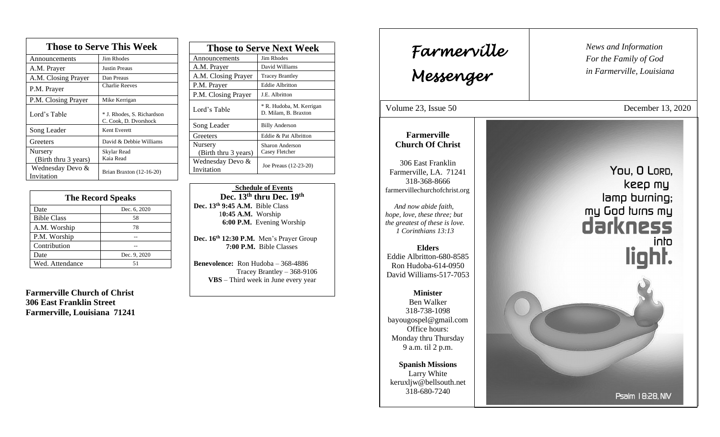| <b>Those to Serve This Week</b> |                                                     |
|---------------------------------|-----------------------------------------------------|
| Announcements                   | <b>Jim Rhodes</b>                                   |
| A.M. Prayer                     | <b>Justin Preaus</b>                                |
| A.M. Closing Prayer             | Dan Preaus                                          |
| P.M. Prayer                     | <b>Charlie Reeves</b>                               |
| P.M. Closing Prayer             | Mike Kerrigan                                       |
| Lord's Table                    | * J. Rhodes, S. Richardson<br>C. Cook, D. Dvorshock |
| Song Leader                     | Kent Everett                                        |
| Greeters                        | David & Debbie Williams                             |
| Nursery<br>(Birth thru 3 years) | Skylar Read<br>Kaia Read                            |
| Wednesday Devo &<br>Invitation  | Brian Braxton (12-16-20)                            |

| <b>The Record Speaks</b> |              |
|--------------------------|--------------|
| Date                     | Dec. 6, 2020 |
| <b>Bible Class</b>       | 58           |
| A.M. Worship             | 78           |
| P.M. Worship             |              |
| Contribution             |              |
| Date                     | Dec. 9, 2020 |
| Wed. Attendance          |              |

**Farmerville Church of Christ 306 East Franklin Street Farmerville, Louisiana 71241**

| <b>Those to Serve Next Week</b> |                                                  |
|---------------------------------|--------------------------------------------------|
| Announcements                   | Jim Rhodes                                       |
| A.M. Prayer                     | David Williams                                   |
| A.M. Closing Prayer             | <b>Tracey Brantley</b>                           |
| P.M. Prayer                     | <b>Eddie Albritton</b>                           |
| P.M. Closing Prayer             | J.E. Albritton                                   |
| Lord's Table                    | * R. Hudoba, M. Kerrigan<br>D. Milam, B. Braxton |
| Song Leader                     | <b>Billy Anderson</b>                            |
| Greeters                        | Eddie & Pat Albritton                            |
| Nursery                         | Sharon Anderson                                  |
| (Birth thru 3 years)            | Casey Fletcher                                   |
| Wednesday Devo &                | Joe Preaus (12-23-20)                            |
| Invitation                      |                                                  |

 **Schedule of Events Dec. 13th thru Dec. 19 th Dec. 13th 9:45 A.M.** Bible Class 1**0:45 A.M.** Worship  **6:00 P.M.** Evening Worship

**Dec. 16th 12:30 P.M.** Men's Prayer Group **7:00 P.M.** Bible Classes

**Benevolence:** Ron Hudoba – 368-4886 Tracey Brantley – 368-9106 **VBS** – Third week in June every year

*News and Information* **Farmerville**  $\parallel$  News and *For the Family of God in Farmerville, Louisiana Messenger*  Volume 23, Issue 50 December 13, 2020 , 2015 **Farmerville Church Of Christ** 306 East Franklin You, O LORD, Farmerville, LA. 71241 318-368-8666 keep my farmervillechurchofchrist.org lamp burning; my God turns my *And now abide faith, hope, love, these three; but the greatest of these is love. 1 Corinthians 13:13* into **Elders** light. Eddie Albritton-680-8585 Ron Hudoba-614-0950 David Williams-517-7053 **Minister** Ben Walker 318-738-1098 bayougospel@gmail.com Office hours: Monday thru Thursday 9 a.m. til 2 p.m. **Spanish Missions** Larry White keruxljw@bellsouth.net 318-680-7240 Psalm 18:28, NIV